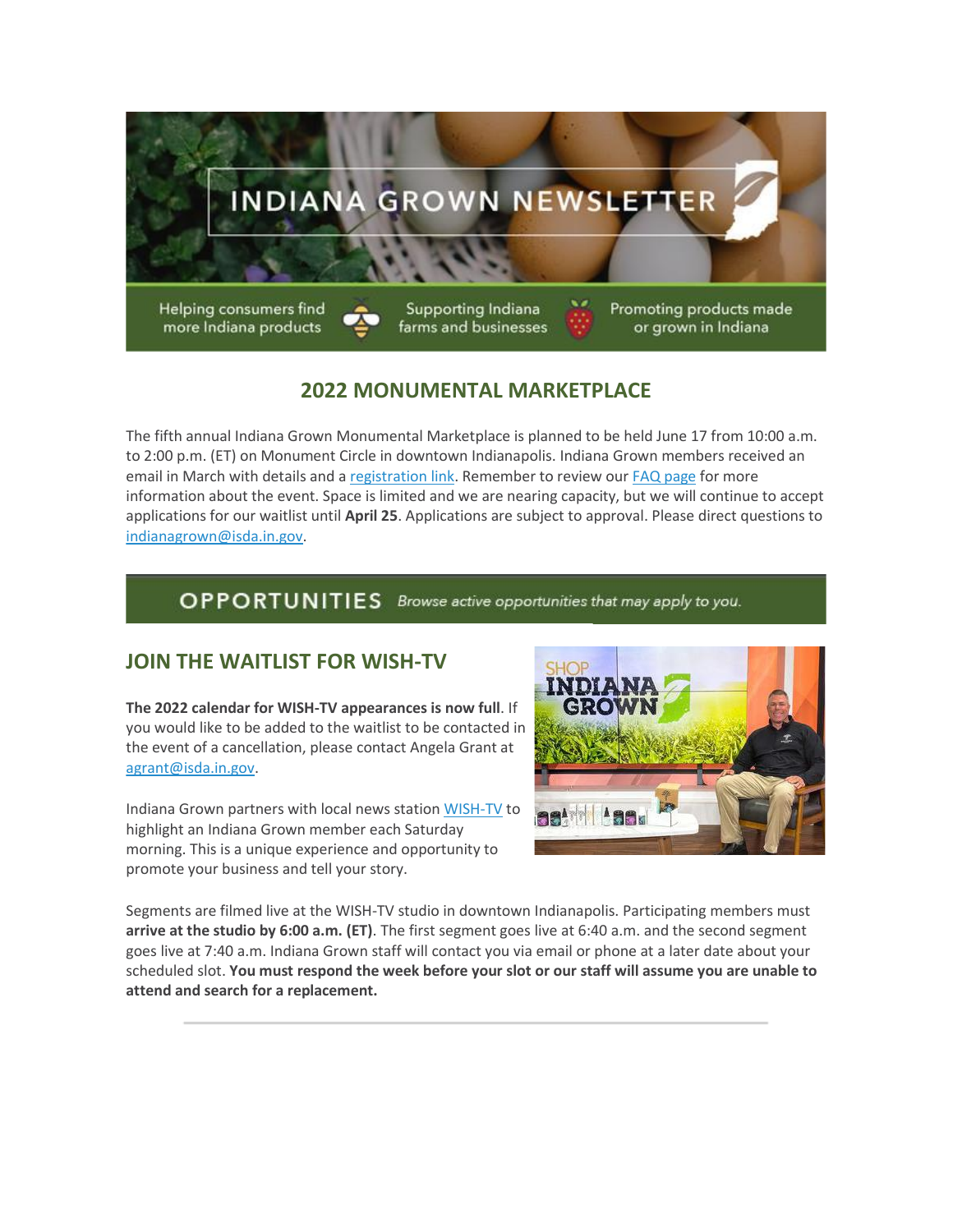

# **2022 MONUMENTAL MARKETPLACE**

The fifth annual Indiana Grown Monumental Marketplace is planned to be held June 17 from 10:00 a.m. to 2:00 p.m. (ET) on Monument Circle in downtown Indianapolis. Indiana Grown members received an email in March with details and a [registration link.](https://lnks.gd/l/eyJhbGciOiJIUzI1NiJ9.eyJidWxsZXRpbl9saW5rX2lkIjoxMDAsInVyaSI6ImJwMjpjbGljayIsImJ1bGxldGluX2lkIjoiMjAyMjA0MDguNTYxNDAwMzEiLCJ1cmwiOiJodHRwczovL2RvY3MuZ29vZ2xlLmNvbS9mb3Jtcy9kL2UvMUZBSXBRTFNmMmphaVNmMU10WEtxbnpDaldCTU4xOVpfZDdkUzZjWWZkSDJPR3JVYUZVbU8zU2cvdmlld2Zvcm0_dXNwPXNmX2xpbmsifQ.h2pkg6QU_b8sXvo_Tglov0sRsiePSmCjeIFnuec-7qw/s/1030915350/br/129558684242-l) Remember to review ou[r FAQ page](https://lnks.gd/l/eyJhbGciOiJIUzI1NiJ9.eyJidWxsZXRpbl9saW5rX2lkIjoxMDEsInVyaSI6ImJwMjpjbGljayIsImJ1bGxldGluX2lkIjoiMjAyMjA0MDguNTYxNDAwMzEiLCJ1cmwiOiJodHRwczovL3d3dy5pbmRpYW5hZ3Jvd24ub3JnL21vbnVtZW50YWwtbWFya2V0cGxhY2UtZmFxLyJ9.M5-WmE8zaHpXQVnOnfd-QPKUpz8wbHjHMpbTaIhXZuY/s/1030915350/br/129558684242-l) for more information about the event. Space is limited and we are nearing capacity, but we will continue to accept applications for our waitlist until **April 25**. Applications are subject to approval. Please direct questions to [indianagrown@isda.in.gov.](mailto:indianagrown@isda.in.gov)

# OPPORTUNITIES Browse active opportunities that may apply to you.

# **JOIN THE WAITLIST FOR WISH-TV**

**The 2022 calendar for WISH-TV appearances is now full**. If you would like to be added to the waitlist to be contacted in the event of a cancellation, please contact Angela Grant at [agrant@isda.in.gov.](mailto:agrant@isda.in.gov)

Indiana Grown partners with local news station [WISH-TV](https://lnks.gd/l/eyJhbGciOiJIUzI1NiJ9.eyJidWxsZXRpbl9saW5rX2lkIjoxMDIsInVyaSI6ImJwMjpjbGljayIsImJ1bGxldGluX2lkIjoiMjAyMjA0MDguNTYxNDAwMzEiLCJ1cmwiOiJodHRwczovL2xua3MuZ2QvbC9leUpoYkdjaU9pSklVekkxTmlKOS5leUppZFd4c1pYUnBibDlzYVc1clgybGtJam94TURRc0luVnlhU0k2SW1Kd01qcGpiR2xqYXlJc0ltSjFiR3hsZEdsdVgybGtJam9pTWpBeU1UQTRNRFl1TkRReU1qSTBOekVpTENKMWNtd2lPaUpvZEhSd2N6b3ZMM2QzZHk1M2FYTm9kSFl1WTI5dEx5SjkuRjBzbDJDVGRVcXBaZW1tcVNMVG1lcmJ2b0hlOEIzYy0zUUptMEh4dzdRQS9zLzE0NzYxODY0OTgvYnIvMTEwNTIwMzc5OTIwLWwifQ.lzphfk2lS0hmJmPyHRurnoNpLPuSpLr3v6fGCuErO6s/s/1030915350/br/129558684242-l) to highlight an Indiana Grown member each Saturday morning. This is a unique experience and opportunity to promote your business and tell your story.



Segments are filmed live at the WISH-TV studio in downtown Indianapolis. Participating members must **arrive at the studio by 6:00 a.m. (ET)**. The first segment goes live at 6:40 a.m. and the second segment goes live at 7:40 a.m. Indiana Grown staff will contact you via email or phone at a later date about your scheduled slot. **You must respond the week before your slot or our staff will assume you are unable to attend and search for a replacement.**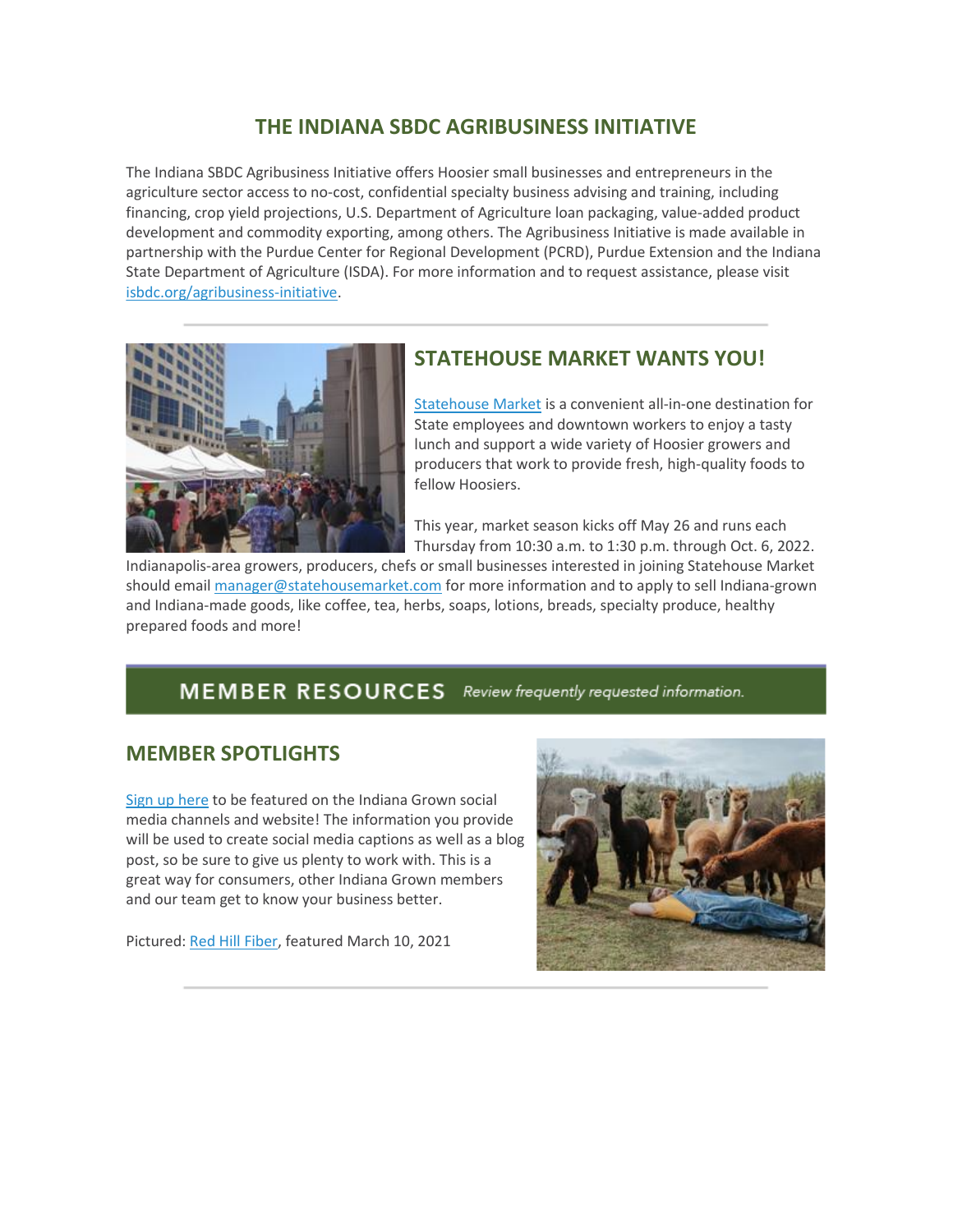### **THE INDIANA SBDC AGRIBUSINESS INITIATIVE**

The Indiana SBDC Agribusiness Initiative offers Hoosier small businesses and entrepreneurs in the agriculture sector access to no-cost, confidential specialty business advising and training, including financing, crop yield projections, U.S. Department of Agriculture loan packaging, value-added product development and commodity exporting, among others. The Agribusiness Initiative is made available in partnership with the Purdue Center for Regional Development (PCRD), Purdue Extension and the Indiana State Department of Agriculture (ISDA). For more information and to request assistance, please visit [isbdc.org/agribusiness-initiative.](https://lnks.gd/l/eyJhbGciOiJIUzI1NiJ9.eyJidWxsZXRpbl9saW5rX2lkIjoxMDMsInVyaSI6ImJwMjpjbGljayIsImJ1bGxldGluX2lkIjoiMjAyMjA0MDguNTYxNDAwMzEiLCJ1cmwiOiJodHRwczovL2lzYmRjLm9yZy9hZ3JpYnVzaW5lc3MtaW5pdGlhdGl2ZS8ifQ.NoLtC0Vs9hAw7BrC3p_v-lHS2F1Vt5o0ogl0YdoAPPE/s/1030915350/br/129558684242-l)



### **STATEHOUSE MARKET WANTS YOU!**

[Statehouse Market](https://lnks.gd/l/eyJhbGciOiJIUzI1NiJ9.eyJidWxsZXRpbl9saW5rX2lkIjoxMDQsInVyaSI6ImJwMjpjbGljayIsImJ1bGxldGluX2lkIjoiMjAyMjA0MDguNTYxNDAwMzEiLCJ1cmwiOiJodHRwOi8vd3d3LnN0YXRlaG91c2VtYXJrZXQuY29tL2Fib3V0LyJ9.cTv4VdVUJbYBbAIYT5VytsgBNMH03MwLOWeTsAznWGw/s/1030915350/br/129558684242-l) is a convenient all-in-one destination for State employees and downtown workers to enjoy a tasty lunch and support a wide variety of Hoosier growers and producers that work to provide fresh, high-quality foods to fellow Hoosiers.

This year, market season kicks off May 26 and runs each Thursday from 10:30 a.m. to 1:30 p.m. through Oct. 6, 2022.

Indianapolis-area growers, producers, chefs or small businesses interested in joining Statehouse Market should email [manager@statehousemarket.com](mailto:manager@statehousemarket.com) for more information and to apply to sell Indiana-grown and Indiana-made goods, like coffee, tea, herbs, soaps, lotions, breads, specialty produce, healthy prepared foods and more!

### MEMBER RESOURCES Review frequently requested information.

#### **MEMBER SPOTLIGHTS**

[Sign up here](https://lnks.gd/l/eyJhbGciOiJIUzI1NiJ9.eyJidWxsZXRpbl9saW5rX2lkIjoxMDUsInVyaSI6ImJwMjpjbGljayIsImJ1bGxldGluX2lkIjoiMjAyMjA0MDguNTYxNDAwMzEiLCJ1cmwiOiJodHRwczovL2RvY3MuZ29vZ2xlLmNvbS9mb3Jtcy9kL2UvMUZBSXBRTFNmOS1QR3k5bGszUkdicG9QdGFnZG5ocG45dUtNYUdhUXBNT3Zjako3SGUtX2t6d1Evdmlld2Zvcm0_dXNwPXNmX2xpbmsifQ.Im22bkjdtOQEzpsptDZCSfVPtbmIoxSlp02yfOjpqk0/s/1030915350/br/129558684242-l) to be featured on the Indiana Grown social media channels and website! The information you provide will be used to create social media captions as well as a blog post, so be sure to give us plenty to work with. This is a great way for consumers, other Indiana Grown members and our team get to know your business better.

Pictured: [Red Hill Fiber,](https://lnks.gd/l/eyJhbGciOiJIUzI1NiJ9.eyJidWxsZXRpbl9saW5rX2lkIjoxMDYsInVyaSI6ImJwMjpjbGljayIsImJ1bGxldGluX2lkIjoiMjAyMjA0MDguNTYxNDAwMzEiLCJ1cmwiOiJodHRwczovL3JlZGhpbGxmaWJlci5jb20vIn0.qeTfKfUTL0nMgWfCQLFCspUcR2zYmDDYguBZ47x61dQ/s/1030915350/br/129558684242-l) featured March 10, 2021